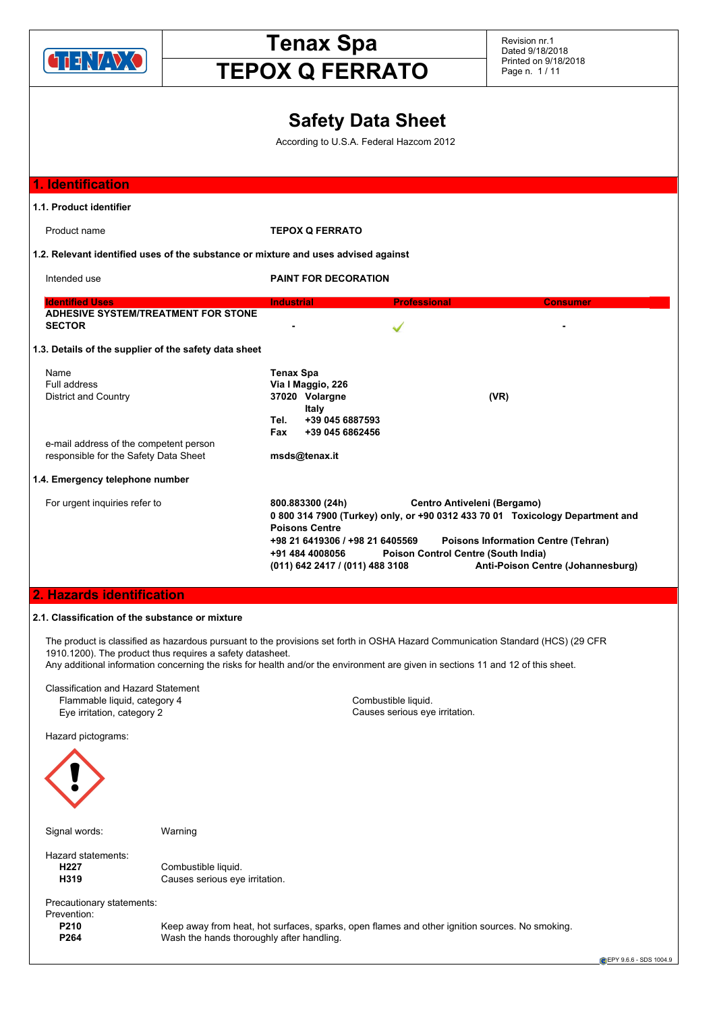

# **Tenax Spa**

Revision nr.1 Dated 9/18/2018 Printed on 9/18/2018 Page n. 1 / 11

## **TEPOX Q FERRATO**

### **Safety Data Sheet**

According to U.S.A. Federal Hazcom 2012

| 1. Identification                                                                  |                                                                                                                                                                                                                                                                                                                                                                                     |
|------------------------------------------------------------------------------------|-------------------------------------------------------------------------------------------------------------------------------------------------------------------------------------------------------------------------------------------------------------------------------------------------------------------------------------------------------------------------------------|
| 1.1. Product identifier                                                            |                                                                                                                                                                                                                                                                                                                                                                                     |
| Product name                                                                       | <b>TEPOX Q FERRATO</b>                                                                                                                                                                                                                                                                                                                                                              |
| 1.2. Relevant identified uses of the substance or mixture and uses advised against |                                                                                                                                                                                                                                                                                                                                                                                     |
| Intended use                                                                       | <b>PAINT FOR DECORATION</b>                                                                                                                                                                                                                                                                                                                                                         |
| <b>Identified Uses</b><br><b>ADHESIVE SYSTEM/TREATMENT FOR STONE</b>               | <b>Industrial</b><br><b>Professional</b><br><b>Consumer</b>                                                                                                                                                                                                                                                                                                                         |
| <b>SECTOR</b>                                                                      |                                                                                                                                                                                                                                                                                                                                                                                     |
| 1.3. Details of the supplier of the safety data sheet                              |                                                                                                                                                                                                                                                                                                                                                                                     |
| Name<br>Full address<br>District and Country                                       | <b>Tenax Spa</b><br>Via I Maggio, 226<br>37020 Volargne<br>(VR)<br>Italy<br>+39 045 6887593<br>Tel.<br>Fax<br>+39 045 6862456                                                                                                                                                                                                                                                       |
| e-mail address of the competent person                                             |                                                                                                                                                                                                                                                                                                                                                                                     |
| responsible for the Safety Data Sheet                                              | msds@tenax.it                                                                                                                                                                                                                                                                                                                                                                       |
| 1.4. Emergency telephone number                                                    |                                                                                                                                                                                                                                                                                                                                                                                     |
| For urgent inquiries refer to                                                      | Centro Antiveleni (Bergamo)<br>800.883300 (24h)<br>0 800 314 7900 (Turkey) only, or +90 0312 433 70 01 Toxicology Department and<br><b>Poisons Centre</b><br>+98 21 6419306 / +98 21 6405569<br><b>Poisons Information Centre (Tehran)</b><br><b>Poison Control Centre (South India)</b><br>+91 484 4008056<br>Anti-Poison Centre (Johannesburg)<br>(011) 642 2417 / (011) 488 3108 |
| <b>2. Hazards identification</b>                                                   |                                                                                                                                                                                                                                                                                                                                                                                     |

### **2.1. Classification of the substance or mixture**

The product is classified as hazardous pursuant to the provisions set forth in OSHA Hazard Communication Standard (HCS) (29 CFR 1910.1200). The product thus requires a safety datasheet.

Any additional information concerning the risks for health and/or the environment are given in sections 11 and 12 of this sheet.

Classification and Hazard Statement Flammable liquid, category 4 Combustible liquid. Eye irritation, category 2 Causes serious eye irritation.

Hazard pictograms:



Signal words: Warning

Hazard statements:<br> **H227** 

Combustible liquid. **H319** Causes serious eye irritation.

Precautionary statements:

Prevention:

**P210** Keep away from heat, hot surfaces, sparks, open flames and other ignition sources. No smoking.<br> **P264** Wash the bands thoroughly after handling Wash the hands thoroughly after handling.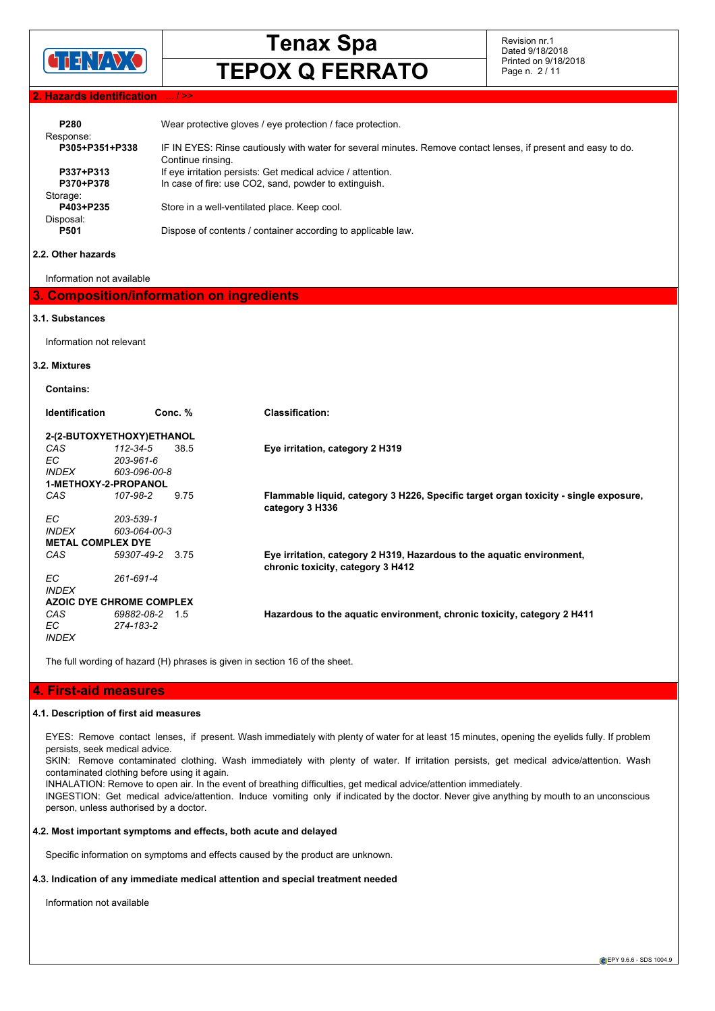

Revision nr.1 Dated 9/18/2018 Printed on 9/18/2018 Page n. 2 / 11

### **2. Hazards identification**

| P <sub>280</sub><br>Response: | Wear protective gloves / eye protection / face protection.                                                                          |
|-------------------------------|-------------------------------------------------------------------------------------------------------------------------------------|
| P305+P351+P338                | IF IN EYES: Rinse cautiously with water for several minutes. Remove contact lenses, if present and easy to do.<br>Continue rinsing. |
| P337+P313                     | If eye irritation persists: Get medical advice / attention.                                                                         |
| P370+P378                     | In case of fire: use CO2, sand, powder to extinguish.                                                                               |
| Storage:                      |                                                                                                                                     |
| P403+P235                     | Store in a well-ventilated place. Keep cool.                                                                                        |
| Disposal:                     |                                                                                                                                     |
| P501                          | Dispose of contents / container according to applicable law.                                                                        |
|                               |                                                                                                                                     |

### **2.2. Other hazards**

Information not available

### **3. Composition/information on ingredients**

### **3.1. Substances**

Information not relevant

### **3.2. Mixtures**

**Contains:**

| <b>Identification</b>       |                       | Conc. % | <b>Classification:</b>                                                                                      |
|-----------------------------|-----------------------|---------|-------------------------------------------------------------------------------------------------------------|
| 2-(2-BUTOXYETHOXY)ETHANOL   |                       |         |                                                                                                             |
| CAS.<br>EC.                 | 112-34-5<br>203-961-6 | 38.5    | Eye irritation, category 2 H319                                                                             |
| <i>INDEX</i>                | 603-096-00-8          |         |                                                                                                             |
| <b>1-METHOXY-2-PROPANOL</b> |                       |         |                                                                                                             |
| CAS.                        | 107-98-2              | 9.75    | Flammable liquid, category 3 H226, Specific target organ toxicity - single exposure,<br>category 3 H336     |
| EC.                         | 203-539-1             |         |                                                                                                             |
| <i><b>INDEX</b></i>         | 603-064-00-3          |         |                                                                                                             |
| <b>METAL COMPLEX DYE</b>    |                       |         |                                                                                                             |
| CAS.                        | 59307-49-2 3.75       |         | Eye irritation, category 2 H319, Hazardous to the aquatic environment,<br>chronic toxicity, category 3 H412 |
| EC.<br><i><b>INDEX</b></i>  | 261-691-4             |         |                                                                                                             |
| AZOIC DYE CHROME COMPLEX    |                       |         |                                                                                                             |
| CAS.                        | 69882-08-2            | 1.5     | Hazardous to the aquatic environment, chronic toxicity, category 2 H411                                     |
| EC.<br><b>INDEX</b>         | 274-183-2             |         |                                                                                                             |
|                             |                       |         |                                                                                                             |

The full wording of hazard (H) phrases is given in section 16 of the sheet.

### **4. First-aid measures**

### **4.1. Description of first aid measures**

EYES: Remove contact lenses, if present. Wash immediately with plenty of water for at least 15 minutes, opening the eyelids fully. If problem persists, seek medical advice.

SKIN: Remove contaminated clothing. Wash immediately with plenty of water. If irritation persists, get medical advice/attention. Wash contaminated clothing before using it again.

INHALATION: Remove to open air. In the event of breathing difficulties, get medical advice/attention immediately.

INGESTION: Get medical advice/attention. Induce vomiting only if indicated by the doctor. Never give anything by mouth to an unconscious person, unless authorised by a doctor.

### **4.2. Most important symptoms and effects, both acute and delayed**

Specific information on symptoms and effects caused by the product are unknown.

**4.3. Indication of any immediate medical attention and special treatment needed**

Information not available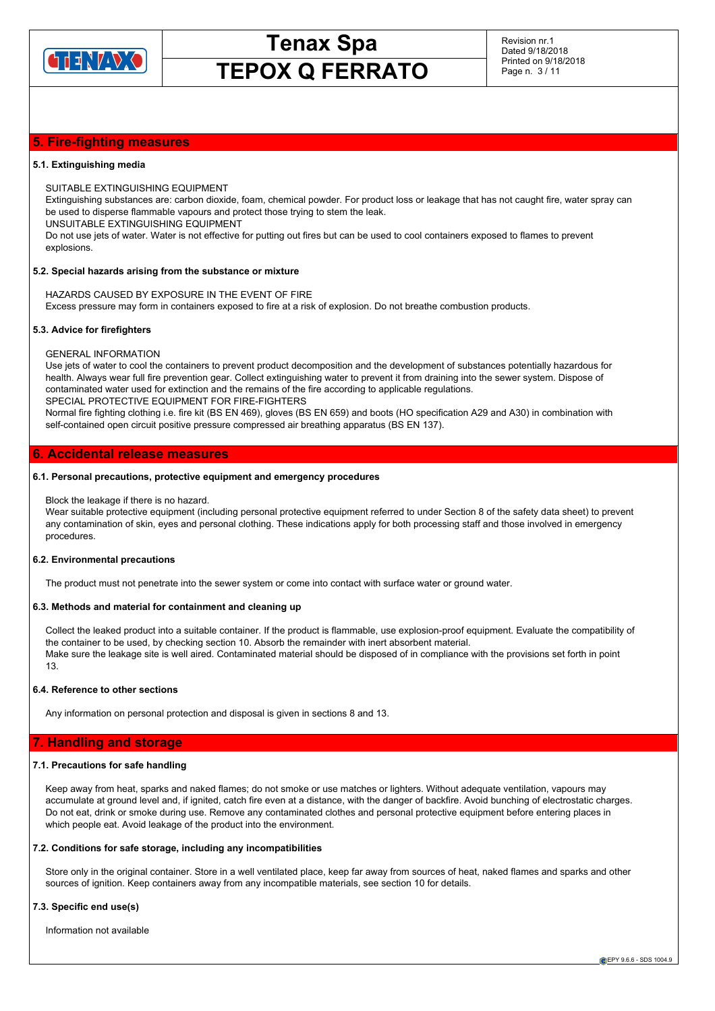

### **5. Fire-fighting measures**

### **5.1. Extinguishing media**

SUITABLE EXTINGUISHING EQUIPMENT

Extinguishing substances are: carbon dioxide, foam, chemical powder. For product loss or leakage that has not caught fire, water spray can be used to disperse flammable vapours and protect those trying to stem the leak.

UNSUITABLE EXTINGUISHING EQUIPMENT

Do not use jets of water. Water is not effective for putting out fires but can be used to cool containers exposed to flames to prevent explosions.

### **5.2. Special hazards arising from the substance or mixture**

HAZARDS CAUSED BY EXPOSURE IN THE EVENT OF FIRE Excess pressure may form in containers exposed to fire at a risk of explosion. Do not breathe combustion products.

### **5.3. Advice for firefighters**

GENERAL INFORMATION

Use jets of water to cool the containers to prevent product decomposition and the development of substances potentially hazardous for health. Always wear full fire prevention gear. Collect extinguishing water to prevent it from draining into the sewer system. Dispose of contaminated water used for extinction and the remains of the fire according to applicable regulations. SPECIAL PROTECTIVE EQUIPMENT FOR FIRE-FIGHTERS

Normal fire fighting clothing i.e. fire kit (BS EN 469), gloves (BS EN 659) and boots (HO specification A29 and A30) in combination with self-contained open circuit positive pressure compressed air breathing apparatus (BS EN 137).

### **6. Accidental release measures**

### **6.1. Personal precautions, protective equipment and emergency procedures**

Block the leakage if there is no hazard.

Wear suitable protective equipment (including personal protective equipment referred to under Section 8 of the safety data sheet) to prevent any contamination of skin, eyes and personal clothing. These indications apply for both processing staff and those involved in emergency procedures.

### **6.2. Environmental precautions**

The product must not penetrate into the sewer system or come into contact with surface water or ground water.

### **6.3. Methods and material for containment and cleaning up**

Collect the leaked product into a suitable container. If the product is flammable, use explosion-proof equipment. Evaluate the compatibility of the container to be used, by checking section 10. Absorb the remainder with inert absorbent material. Make sure the leakage site is well aired. Contaminated material should be disposed of in compliance with the provisions set forth in point 13.

### **6.4. Reference to other sections**

Any information on personal protection and disposal is given in sections 8 and 13.

### **7. Handling and storage**

### **7.1. Precautions for safe handling**

Keep away from heat, sparks and naked flames; do not smoke or use matches or lighters. Without adequate ventilation, vapours may accumulate at ground level and, if ignited, catch fire even at a distance, with the danger of backfire. Avoid bunching of electrostatic charges. Do not eat, drink or smoke during use. Remove any contaminated clothes and personal protective equipment before entering places in which people eat. Avoid leakage of the product into the environment.

### **7.2. Conditions for safe storage, including any incompatibilities**

Store only in the original container. Store in a well ventilated place, keep far away from sources of heat, naked flames and sparks and other sources of ignition. Keep containers away from any incompatible materials, see section 10 for details.

### **7.3. Specific end use(s)**

Information not available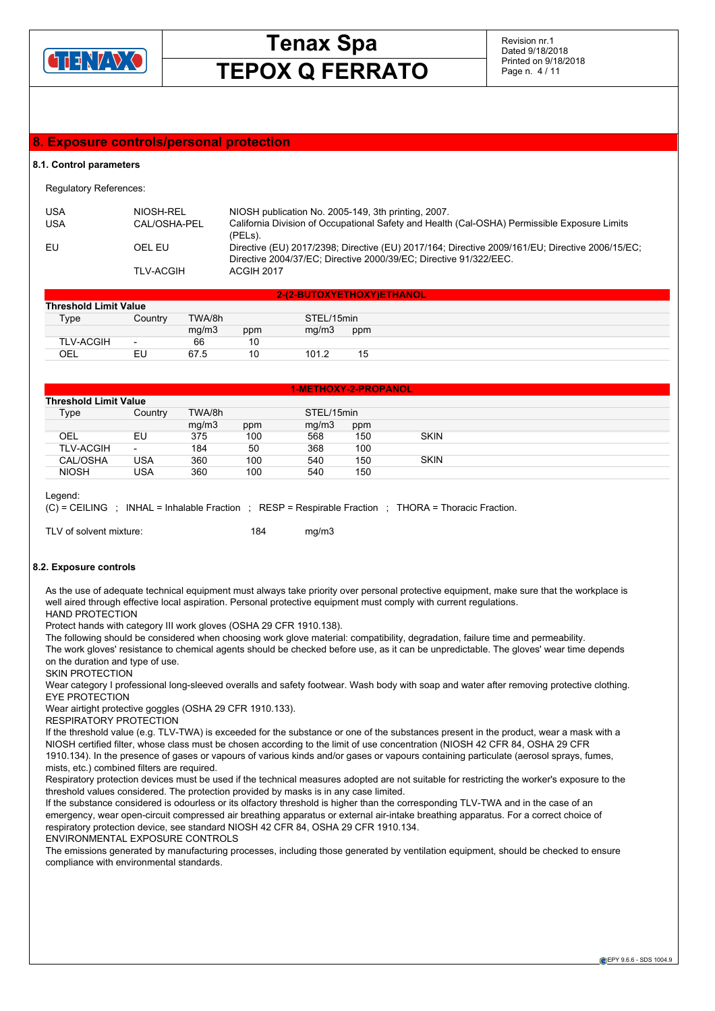

Revision nr.1 Dated 9/18/2018 Printed on 9/18/2018 Page n. 4 / 11

### **8. Exposure controls/personal protection**

### **8.1. Control parameters**

Regulatory References:

| <b>USA</b> | NIOSH-REL        | NIOSH publication No. 2005-149, 3th printing, 2007.                                                                                                                  |
|------------|------------------|----------------------------------------------------------------------------------------------------------------------------------------------------------------------|
| <b>USA</b> | CAL/OSHA-PEL     | California Division of Occupational Safety and Health (Cal-OSHA) Permissible Exposure Limits<br>(PELS).                                                              |
| EU         | OEL EU           | Directive (EU) 2017/2398; Directive (EU) 2017/164; Directive 2009/161/EU; Directive 2006/15/EC;<br>Directive 2004/37/EC; Directive 2000/39/EC; Directive 91/322/EEC. |
|            | <b>TLV-ACGIH</b> | ACGIH 2017                                                                                                                                                           |

| 2-(2-BUTOXYETHOXY)ETHANOL    |                          |        |     |            |     |  |  |  |
|------------------------------|--------------------------|--------|-----|------------|-----|--|--|--|
| <b>Threshold Limit Value</b> |                          |        |     |            |     |  |  |  |
| Type                         | Country                  | TWA/8h |     | STEL/15min |     |  |  |  |
|                              |                          | mg/m3  | ppm | mq/m3      | ppm |  |  |  |
| <b>TLV-ACGIH</b>             | $\overline{\phantom{0}}$ | 66     | 10  |            |     |  |  |  |
| OEL                          | EU                       | 67.5   | 10  | 101.2      | 15  |  |  |  |

|                              |                          |        |     | 1-METHOXY-2-PROPANOL <sup>1</sup> |     |             |  |  |
|------------------------------|--------------------------|--------|-----|-----------------------------------|-----|-------------|--|--|
| <b>Threshold Limit Value</b> |                          |        |     |                                   |     |             |  |  |
| Type                         | Country                  | TWA/8h |     | STEL/15min                        |     |             |  |  |
|                              |                          | mq/m3  | ppm | mq/m3                             | ppm |             |  |  |
| OEL                          | EU                       | 375    | 100 | 568                               | 150 | <b>SKIN</b> |  |  |
| <b>TLV-ACGIH</b>             | $\overline{\phantom{0}}$ | 184    | 50  | 368                               | 100 |             |  |  |
| CAL/OSHA                     | <b>USA</b>               | 360    | 100 | 540                               | 150 | <b>SKIN</b> |  |  |
| <b>NIOSH</b>                 | USA                      | 360    | 100 | 540                               | 150 |             |  |  |

Legend:

(C) = CEILING ; INHAL = Inhalable Fraction ; RESP = Respirable Fraction ; THORA = Thoracic Fraction.

TLV of solvent mixture: 184 mg/m3

### **8.2. Exposure controls**

As the use of adequate technical equipment must always take priority over personal protective equipment, make sure that the workplace is well aired through effective local aspiration. Personal protective equipment must comply with current regulations. HAND PROTECTION

Protect hands with category III work gloves (OSHA 29 CFR 1910.138).

The following should be considered when choosing work glove material: compatibility, degradation, failure time and permeability.

The work gloves' resistance to chemical agents should be checked before use, as it can be unpredictable. The gloves' wear time depends on the duration and type of use.

SKIN PROTECTION

Wear category I professional long-sleeved overalls and safety footwear. Wash body with soap and water after removing protective clothing. EYE PROTECTION

Wear airtight protective goggles (OSHA 29 CFR 1910.133).

RESPIRATORY PROTECTION

If the threshold value (e.g. TLV-TWA) is exceeded for the substance or one of the substances present in the product, wear a mask with a NIOSH certified filter, whose class must be chosen according to the limit of use concentration (NIOSH 42 CFR 84, OSHA 29 CFR 1910.134). In the presence of gases or vapours of various kinds and/or gases or vapours containing particulate (aerosol sprays, fumes, mists, etc.) combined filters are required.

Respiratory protection devices must be used if the technical measures adopted are not suitable for restricting the worker's exposure to the threshold values considered. The protection provided by masks is in any case limited.

If the substance considered is odourless or its olfactory threshold is higher than the corresponding TLV-TWA and in the case of an emergency, wear open-circuit compressed air breathing apparatus or external air-intake breathing apparatus. For a correct choice of respiratory protection device, see standard NIOSH 42 CFR 84, OSHA 29 CFR 1910.134.

ENVIRONMENTAL EXPOSURE CONTROLS

The emissions generated by manufacturing processes, including those generated by ventilation equipment, should be checked to ensure compliance with environmental standards.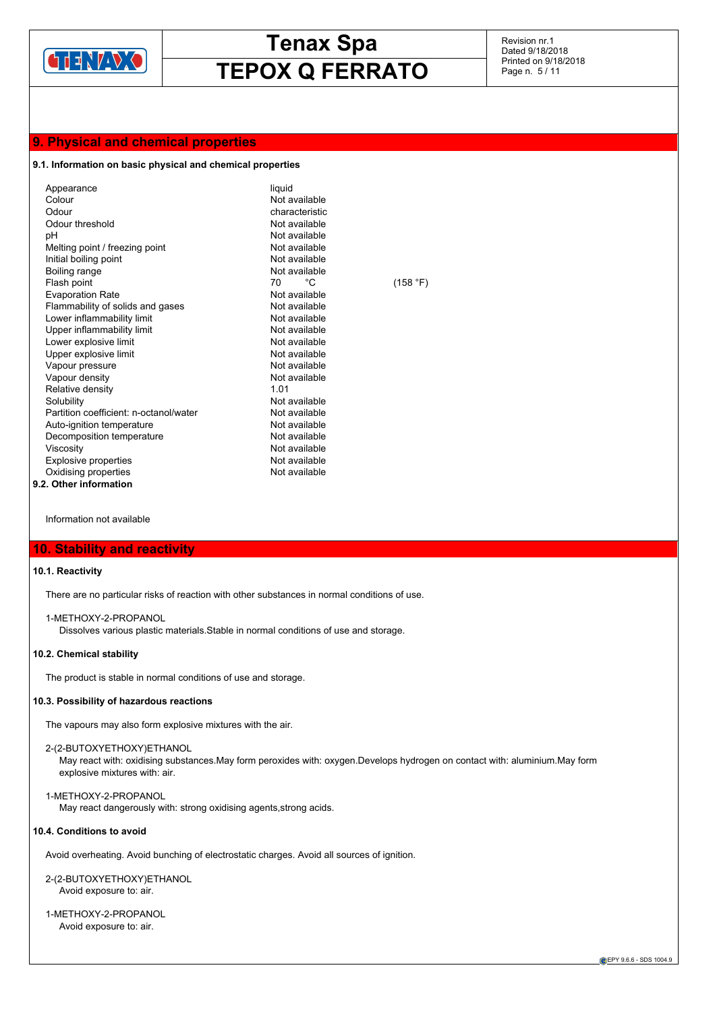

Revision nr.1 Dated 9/18/2018 Printed on 9/18/2018 Page n. 5 / 11

### **9. Physical and chemical properties**

### **9.1. Information on basic physical and chemical properties**

| Appearance                             | liquid         |          |
|----------------------------------------|----------------|----------|
| Colour                                 | Not available  |          |
| Odour                                  | characteristic |          |
| Odour threshold                        | Not available  |          |
| рH                                     | Not available  |          |
| Melting point / freezing point         | Not available  |          |
| Initial boiling point                  | Not available  |          |
| Boiling range                          | Not available  |          |
| Flash point                            | °€<br>70       | (158 °F) |
| <b>Evaporation Rate</b>                | Not available  |          |
| Flammability of solids and gases       | Not available  |          |
| Lower inflammability limit             | Not available  |          |
| Upper inflammability limit             | Not available  |          |
| Lower explosive limit                  | Not available  |          |
| Upper explosive limit                  | Not available  |          |
| Vapour pressure                        | Not available  |          |
| Vapour density                         | Not available  |          |
| Relative density                       | 1 0 1          |          |
| Solubility                             | Not available  |          |
| Partition coefficient: n-octanol/water | Not available  |          |
| Auto-ignition temperature              | Not available  |          |
| Decomposition temperature              | Not available  |          |
| Viscosity                              | Not available  |          |
| <b>Explosive properties</b>            | Not available  |          |
| Oxidising properties                   | Not available  |          |
| 9.2. Other information                 |                |          |

Information not available

### **10. Stability and reactivity**

### **10.1. Reactivity**

There are no particular risks of reaction with other substances in normal conditions of use.

### 1-METHOXY-2-PROPANOL

Dissolves various plastic materials.Stable in normal conditions of use and storage.

### **10.2. Chemical stability**

The product is stable in normal conditions of use and storage.

### **10.3. Possibility of hazardous reactions**

The vapours may also form explosive mixtures with the air.

### 2-(2-BUTOXYETHOXY)ETHANOL

May react with: oxidising substances.May form peroxides with: oxygen.Develops hydrogen on contact with: aluminium.May form explosive mixtures with: air.

### 1-METHOXY-2-PROPANOL

May react dangerously with: strong oxidising agents,strong acids.

### **10.4. Conditions to avoid**

Avoid overheating. Avoid bunching of electrostatic charges. Avoid all sources of ignition.

2-(2-BUTOXYETHOXY)ETHANOL Avoid exposure to: air.

1-METHOXY-2-PROPANOL Avoid exposure to: air.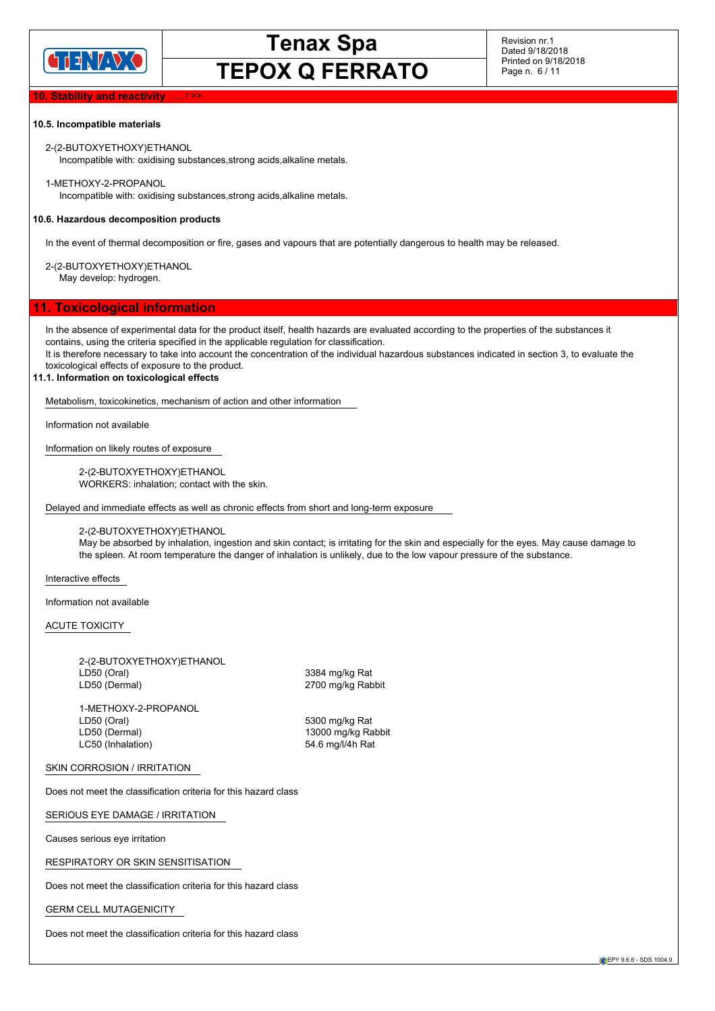

Revision nr.1 Dated 9/18/2018 Printed on 9/18/2018 Page n. 6 / 11

### **10. Stability and reactivity**

### **10.5. Incompatible materials**

2-(2-BUTOXYETHOXY)ETHANOL Incompatible with: oxidising substances,strong acids,alkaline metals.

1-METHOXY-2-PROPANOL Incompatible with: oxidising substances,strong acids,alkaline metals.

### **10.6. Hazardous decomposition products**

In the event of thermal decomposition or fire, gases and vapours that are potentially dangerous to health may be released.

2-(2-BUTOXYETHOXY)ETHANOL May develop: hydrogen.

### **11. Toxicological information**

In the absence of experimental data for the product itself, health hazards are evaluated according to the properties of the substances it contains, using the criteria specified in the applicable regulation for classification.

It is therefore necessary to take into account the concentration of the individual hazardous substances indicated in section 3, to evaluate the toxicological effects of exposure to the product.

### **11.1. Information on toxicological effects**

Metabolism, toxicokinetics, mechanism of action and other information

Information not available

Information on likely routes of exposure

2-(2-BUTOXYETHOXY)ETHANOL WORKERS: inhalation; contact with the skin.

Delayed and immediate effects as well as chronic effects from short and long-term exposure

2-(2-BUTOXYETHOXY)ETHANOL

May be absorbed by inhalation, ingestion and skin contact; is irritating for the skin and especially for the eyes. May cause damage to the spleen. At room temperature the danger of inhalation is unlikely, due to the low vapour pressure of the substance.

Interactive effects

Information not available

ACUTE TOXICITY

2-(2-BUTOXYETHOXY)ETHANOL LD50 (Oral) 3384 mg/kg Rat LD50 (Dermal) 2700 mg/kg Rabbit

1-METHOXY-2-PROPANOL LD50 (Oral) 5300 mg/kg Rat LC50 (Inhalation) 54.6 mg/l/4h Rat

13000 mg/kg Rabbit

SKIN CORROSION / IRRITATION

Does not meet the classification criteria for this hazard class

SERIOUS EYE DAMAGE / IRRITATION

Causes serious eye irritation

RESPIRATORY OR SKIN SENSITISATION

Does not meet the classification criteria for this hazard class

GERM CELL MUTAGENICITY

Does not meet the classification criteria for this hazard class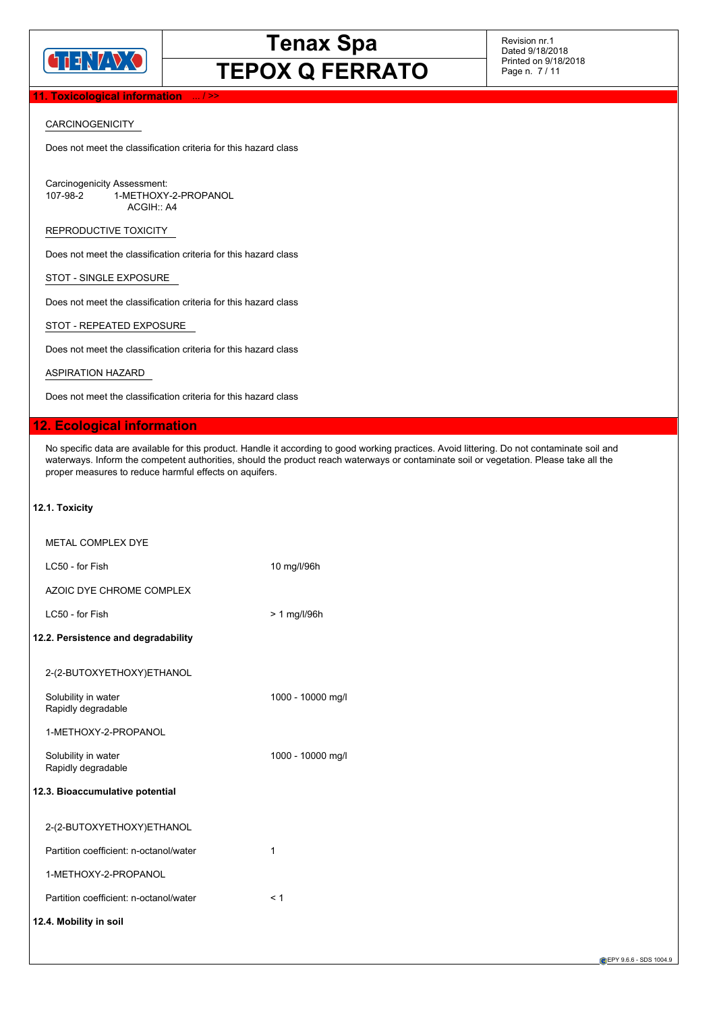

Revision nr.1 Dated 9/18/2018 Printed on 9/18/2018 Page n. 7 / 11

### **11. Toxicological information**

### CARCINOGENICITY

Does not meet the classification criteria for this hazard class

Carcinogenicity Assessment:<br>107-98-2 1-METHOXY 1-METHOXY-2-PROPANOL ACGIH:: A4

REPRODUCTIVE TOXICITY

Does not meet the classification criteria for this hazard class

STOT - SINGLE EXPOSURE

Does not meet the classification criteria for this hazard class

STOT - REPEATED EXPOSURE

Does not meet the classification criteria for this hazard class

ASPIRATION HAZARD

Does not meet the classification criteria for this hazard class

### **12. Ecological information**

No specific data are available for this product. Handle it according to good working practices. Avoid littering. Do not contaminate soil and waterways. Inform the competent authorities, should the product reach waterways or contaminate soil or vegetation. Please take all the proper measures to reduce harmful effects on aquifers.

### **12.1. Toxicity**

| <b>METAL COMPLEX DYE</b>                  |                   |
|-------------------------------------------|-------------------|
| LC50 - for Fish                           | 10 mg/l/96h       |
| AZOIC DYE CHROME COMPLEX                  |                   |
| LC50 - for Fish                           | $> 1$ mg/l/96h    |
| 12.2. Persistence and degradability       |                   |
| 2-(2-BUTOXYETHOXY)ETHANOL                 |                   |
| Solubility in water<br>Rapidly degradable | 1000 - 10000 mg/l |
| 1-METHOXY-2-PROPANOL                      |                   |
| Solubility in water<br>Rapidly degradable | 1000 - 10000 mg/l |
| 12.3. Bioaccumulative potential           |                   |
| 2-(2-BUTOXYETHOXY)ETHANOL                 |                   |
| Partition coefficient: n-octanol/water    | 1                 |
| 1-METHOXY-2-PROPANOL                      |                   |
| Partition coefficient: n-octanol/water    | < 1               |
| 12.4. Mobility in soil                    |                   |

EPY 9.6.6 - SDS 1004.9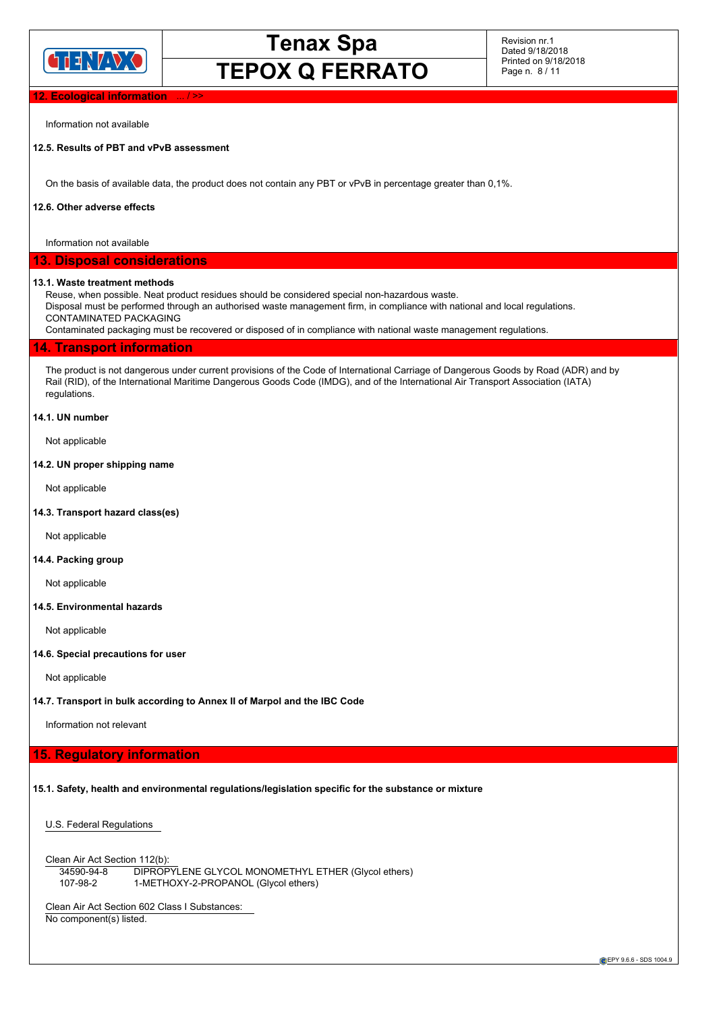

Revision nr.1 Dated 9/18/2018 Printed on 9/18/2018 Page n. 8 / 11

### **Ecological information**

Information not available

### **12.5. Results of PBT and vPvB assessment**

On the basis of available data, the product does not contain any PBT or vPvB in percentage greater than 0,1%.

### **12.6. Other adverse effects**

Information not available

### **13. Disposal considerations**

### **13.1. Waste treatment methods**

Reuse, when possible. Neat product residues should be considered special non-hazardous waste.

Disposal must be performed through an authorised waste management firm, in compliance with national and local regulations. CONTAMINATED PACKAGING

Contaminated packaging must be recovered or disposed of in compliance with national waste management regulations.

### **14. Transport information**

The product is not dangerous under current provisions of the Code of International Carriage of Dangerous Goods by Road (ADR) and by Rail (RID), of the International Maritime Dangerous Goods Code (IMDG), and of the International Air Transport Association (IATA) regulations.

### **14.1. UN number**

Not applicable

### **14.2. UN proper shipping name**

Not applicable

### **14.3. Transport hazard class(es)**

Not applicable

### **14.4. Packing group**

Not applicable

### **14.5. Environmental hazards**

Not applicable

### **14.6. Special precautions for user**

Not applicable

### **14.7. Transport in bulk according to Annex II of Marpol and the IBC Code**

Information not relevant

### **15. Regulatory information**

### **15.1. Safety, health and environmental regulations/legislation specific for the substance or mixture**

U.S. Federal Regulations

Clean Air Act Section 112(b): 34590-94-8 DIPROPYLENE GLYCOL MONOMETHYL ETHER (Glycol ethers) 107-98-2 1-METHOXY-2-PROPANOL (Glycol ethers)

Clean Air Act Section 602 Class I Substances: No component(s) listed.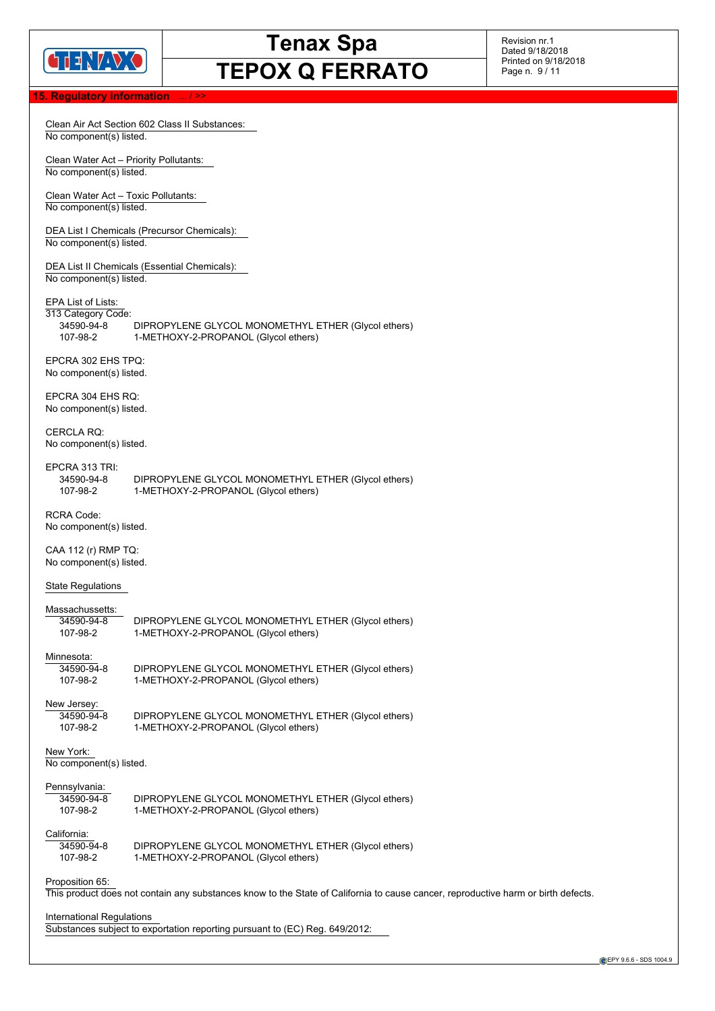

Revision nr.1 Dated 9/18/2018 Printed on 9/18/2018 Page n. 9 / 11

### **15. Regulatory information**

|                                                                    | Clean Air Act Section 602 Class II Substances:                                                                                    |  |  |  |
|--------------------------------------------------------------------|-----------------------------------------------------------------------------------------------------------------------------------|--|--|--|
| No component(s) listed.                                            |                                                                                                                                   |  |  |  |
| No component(s) listed.                                            | Clean Water Act - Priority Pollutants:                                                                                            |  |  |  |
| Clean Water Act - Toxic Pollutants:<br>No component(s) listed.     |                                                                                                                                   |  |  |  |
| No component(s) listed.                                            | DEA List I Chemicals (Precursor Chemicals):                                                                                       |  |  |  |
| No component(s) listed.                                            | DEA List II Chemicals (Essential Chemicals):                                                                                      |  |  |  |
| EPA List of Lists:<br>313 Category Code:<br>34590-94-8<br>107-98-2 | DIPROPYLENE GLYCOL MONOMETHYL ETHER (Glycol ethers)<br>1-METHOXY-2-PROPANOL (Glycol ethers)                                       |  |  |  |
| EPCRA 302 EHS TPQ:<br>No component(s) listed.                      |                                                                                                                                   |  |  |  |
| EPCRA 304 EHS RQ:<br>No component(s) listed.                       |                                                                                                                                   |  |  |  |
| <b>CERCLA RQ:</b><br>No component(s) listed.                       |                                                                                                                                   |  |  |  |
| EPCRA 313 TRI:<br>34590-94-8<br>107-98-2                           | DIPROPYLENE GLYCOL MONOMETHYL ETHER (Glycol ethers)<br>1-METHOXY-2-PROPANOL (Glycol ethers)                                       |  |  |  |
| <b>RCRA Code:</b><br>No component(s) listed.                       |                                                                                                                                   |  |  |  |
| CAA 112 (r) RMP TQ:<br>No component(s) listed.                     |                                                                                                                                   |  |  |  |
| <b>State Regulations</b>                                           |                                                                                                                                   |  |  |  |
| Massachussetts:<br>34590-94-8<br>107-98-2                          | DIPROPYLENE GLYCOL MONOMETHYL ETHER (Glycol ethers)<br>1-METHOXY-2-PROPANOL (Glycol ethers)                                       |  |  |  |
| Minnesota:<br>34590-94-8<br>107-98-2                               | DIPROPYLENE GLYCOL MONOMETHYL ETHER (Glycol ethers)<br>1-METHOXY-2-PROPANOL (Glycol ethers)                                       |  |  |  |
| New Jersey:<br>34590-94-8<br>107-98-2                              | DIPROPYLENE GLYCOL MONOMETHYL ETHER (Glycol ethers)<br>1-METHOXY-2-PROPANOL (Glycol ethers)                                       |  |  |  |
| New York:<br>No component(s) listed.                               |                                                                                                                                   |  |  |  |
| Pennsylvania:<br>34590-94-8<br>107-98-2                            | DIPROPYLENE GLYCOL MONOMETHYL ETHER (Glycol ethers)<br>1-METHOXY-2-PROPANOL (Glycol ethers)                                       |  |  |  |
| California:<br>34590-94-8<br>107-98-2                              | DIPROPYLENE GLYCOL MONOMETHYL ETHER (Glycol ethers)<br>1-METHOXY-2-PROPANOL (Glycol ethers)                                       |  |  |  |
| Proposition 65:                                                    | This product does not contain any substances know to the State of California to cause cancer, reproductive harm or birth defects. |  |  |  |
| International Regulations                                          | Substances subject to exportation reporting pursuant to (EC) Reg. 649/2012:                                                       |  |  |  |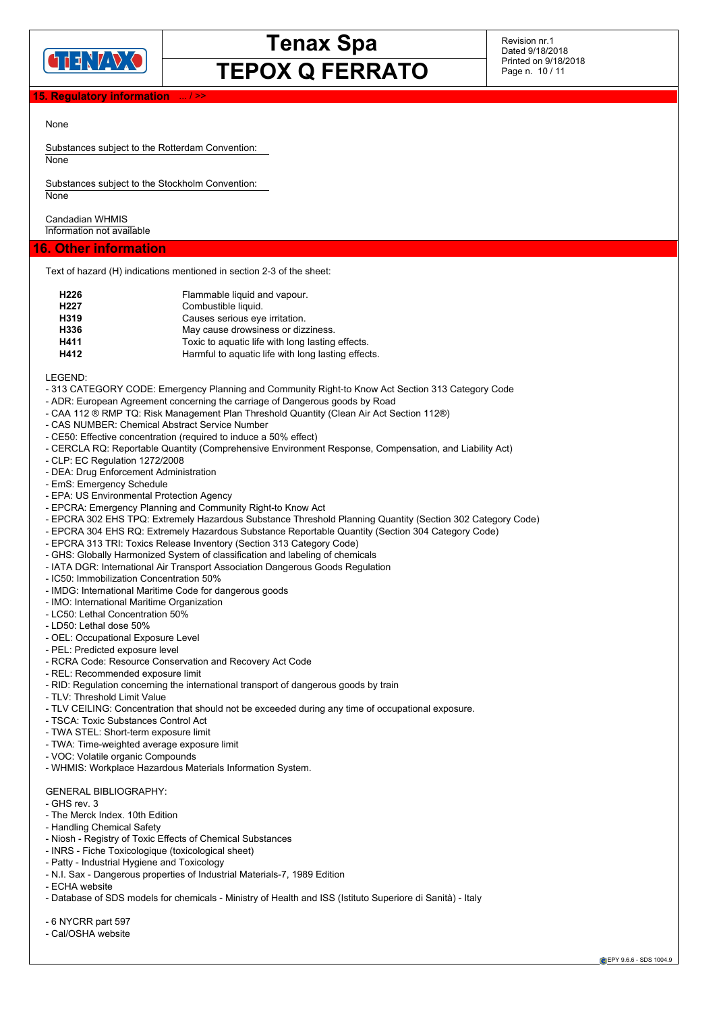

Revision nr.1 Dated 9/18/2018 Printed on 9/18/2018 Page n. 10 / 11

### **15. Regulatory information**

### None

Substances subject to the Rotterdam Convention: None

Substances subject to the Stockholm Convention: **None** 

Candadian WHMIS Information not available

### **16. Other information**

Text of hazard (H) indications mentioned in section 2-3 of the sheet:

| H <sub>226</sub>  | Flammable liquid and vapour.                       |
|-------------------|----------------------------------------------------|
| H <sub>22</sub> 7 | Combustible liquid.                                |
| H319              | Causes serious eye irritation.                     |
| H336              | May cause drowsiness or dizziness.                 |
| H411              | Toxic to aquatic life with long lasting effects.   |
| H412              | Harmful to aquatic life with long lasting effects. |

LEGEND:

- 313 CATEGORY CODE: Emergency Planning and Community Right-to Know Act Section 313 Category Code
- ADR: European Agreement concerning the carriage of Dangerous goods by Road
- CAA 112 ® RMP TQ: Risk Management Plan Threshold Quantity (Clean Air Act Section 112®)
- CAS NUMBER: Chemical Abstract Service Number
- CE50: Effective concentration (required to induce a 50% effect)
- CERCLA RQ: Reportable Quantity (Comprehensive Environment Response, Compensation, and Liability Act)
- CLP: EC Regulation 1272/2008
- DEA: Drug Enforcement Administration
- EmS: Emergency Schedule
- EPA: US Environmental Protection Agency
- EPCRA: Emergency Planning and Community Right-to Know Act
- EPCRA 302 EHS TPQ: Extremely Hazardous Substance Threshold Planning Quantity (Section 302 Category Code)
- EPCRA 304 EHS RQ: Extremely Hazardous Substance Reportable Quantity (Section 304 Category Code)
- EPCRA 313 TRI: Toxics Release Inventory (Section 313 Category Code)
- GHS: Globally Harmonized System of classification and labeling of chemicals
- IATA DGR: International Air Transport Association Dangerous Goods Regulation
- IC50: Immobilization Concentration 50%
- IMDG: International Maritime Code for dangerous goods
- IMO: International Maritime Organization
- LC50: Lethal Concentration 50%
- LD50: Lethal dose 50%
- OEL: Occupational Exposure Level
- PEL: Predicted exposure level
- RCRA Code: Resource Conservation and Recovery Act Code
- REL: Recommended exposure limit
- RID: Regulation concerning the international transport of dangerous goods by train
- TLV: Threshold Limit Value
- TLV CEILING: Concentration that should not be exceeded during any time of occupational exposure.
- TSCA: Toxic Substances Control Act
- TWA STEL: Short-term exposure limit
- TWA: Time-weighted average exposure limit
- VOC: Volatile organic Compounds
- WHMIS: Workplace Hazardous Materials Information System.

### GENERAL BIBLIOGRAPHY:

- GHS rev. 3
- The Merck Index. 10th Edition
- Handling Chemical Safety
- Niosh Registry of Toxic Effects of Chemical Substances
- INRS Fiche Toxicologique (toxicological sheet)
- Patty Industrial Hygiene and Toxicology
- N.I. Sax Dangerous properties of Industrial Materials-7, 1989 Edition
- ECHA website
- Database of SDS models for chemicals Ministry of Health and ISS (Istituto Superiore di Sanità) Italy
- 6 NYCRR part 597
- Cal/OSHA website